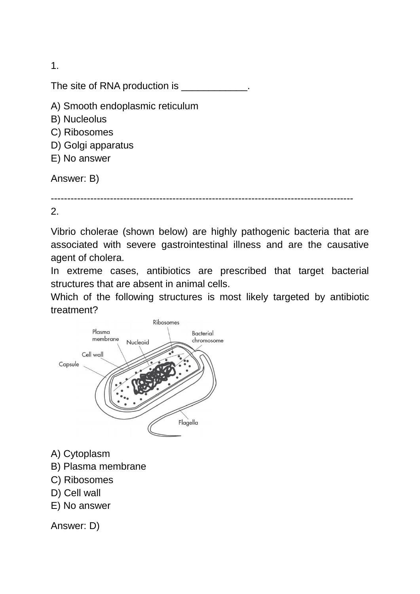1.

The site of RNA production is \_\_\_\_\_\_\_\_\_\_\_\_\_

- A) Smooth endoplasmic reticulum
- B) Nucleolus
- C) Ribosomes
- D) Golgi apparatus
- E) No answer

Answer: B)

--------------------------------------------------------------------------------------------

2.

Vibrio cholerae (shown below) are highly pathogenic bacteria that are associated with severe gastrointestinal illness and are the causative agent of cholera.

In extreme cases, antibiotics are prescribed that target bacterial structures that are absent in animal cells.

Which of the following structures is most likely targeted by antibiotic treatment?



- A) Cytoplasm
- B) Plasma membrane
- C) Ribosomes
- D) Cell wall
- E) No answer

Answer: D)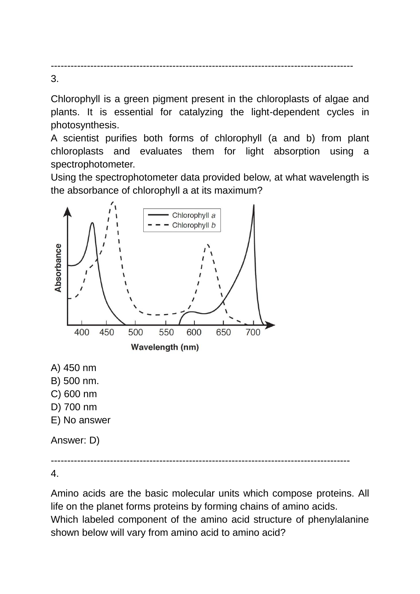-------------------------------------------------------------------------------------------- 3.

Chlorophyll is a green pigment present in the chloroplasts of algae and plants. It is essential for catalyzing the light-dependent cycles in photosynthesis.

A scientist purifies both forms of chlorophyll (a and b) from plant chloroplasts and evaluates them for light absorption using a spectrophotometer.

Using the spectrophotometer data provided below, at what wavelength is the absorbance of chlorophyll a at its maximum?



4.

Amino acids are the basic molecular units which compose proteins. All life on the planet forms proteins by forming chains of amino acids. Which labeled component of the amino acid structure of phenylalanine shown below will vary from amino acid to amino acid?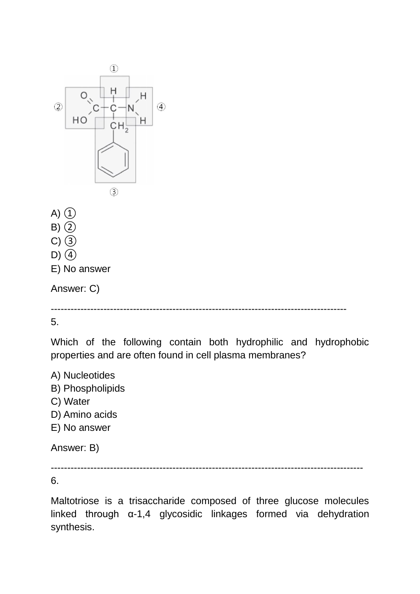

5.

Which of the following contain both hydrophilic and hydrophobic properties and are often found in cell plasma membranes?

A) Nucleotides

- B) Phospholipids
- C) Water
- D) Amino acids
- E) No answer

Answer: B)

-----------------------------------------------------------------------------------------------

6.

Maltotriose is a trisaccharide composed of three glucose molecules linked through α-1,4 glycosidic linkages formed via dehydration synthesis.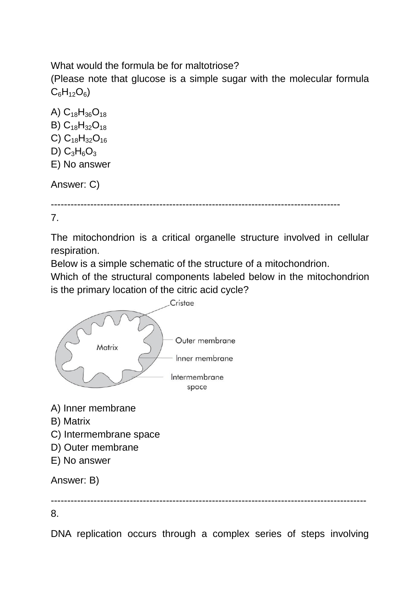What would the formula be for maltotriose?

(Please note that glucose is a simple sugar with the molecular formula  $C_6H_{12}O_6$ 

A)  $C_{18}H_{36}O_{18}$ B)  $C_{18}H_{32}O_{18}$ C)  $C_{18}H_{32}O_{16}$ D)  $C_3H_6O_3$ E) No answer Answer: C)

----------------------------------------------------------------------------------------

7.

The mitochondrion is a critical organelle structure involved in cellular respiration.

Below is a simple schematic of the structure of a mitochondrion.

Which of the structural components labeled below in the mitochondrion is the primary location of the citric acid cycle?



- B) Matrix
- C) Intermembrane space
- D) Outer membrane
- E) No answer

Answer: B)

------------------------------------------------------------------------------------------------

8.

DNA replication occurs through a complex series of steps involving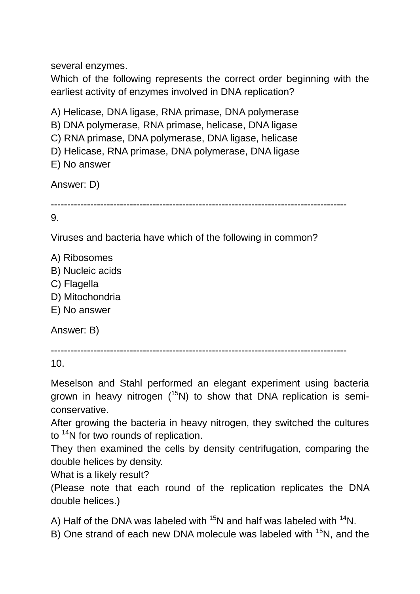several enzymes.

Which of the following represents the correct order beginning with the earliest activity of enzymes involved in DNA replication?

A) Helicase, DNA ligase, RNA primase, DNA polymerase

B) DNA polymerase, RNA primase, helicase, DNA ligase

C) RNA primase, DNA polymerase, DNA ligase, helicase

D) Helicase, RNA primase, DNA polymerase, DNA ligase

```
E) No answer
```
Answer: D)

```
------------------------------------------------------------------------------------------
```
9.

Viruses and bacteria have which of the following in common?

A) Ribosomes

B) Nucleic acids

- C) Flagella
- D) Mitochondria
- E) No answer

Answer: B)

```
------------------------------------------------------------------------------------------
```
10.

Meselson and Stahl performed an elegant experiment using bacteria grown in heavy nitrogen  $(^{15}N)$  to show that DNA replication is semiconservative.

After growing the bacteria in heavy nitrogen, they switched the cultures to <sup>14</sup>N for two rounds of replication.

They then examined the cells by density centrifugation, comparing the double helices by density.

What is a likely result?

(Please note that each round of the replication replicates the DNA double helices.)

A) Half of the DNA was labeled with  $15N$  and half was labeled with  $14N$ .

B) One strand of each new DNA molecule was labeled with <sup>15</sup>N, and the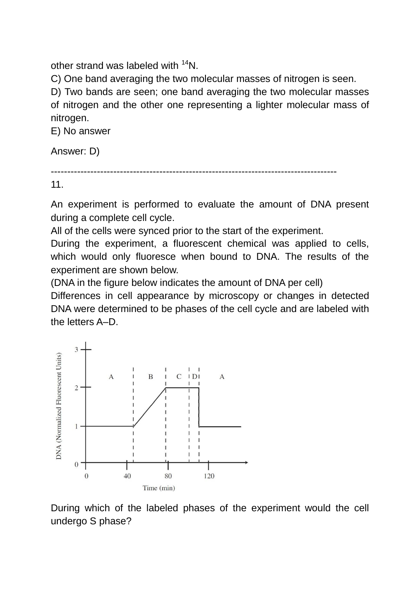other strand was labeled with <sup>14</sup>N.

C) One band averaging the two molecular masses of nitrogen is seen.

D) Two bands are seen; one band averaging the two molecular masses of nitrogen and the other one representing a lighter molecular mass of nitrogen.

E) No answer

Answer: D)

```
---------------------------------------------------------------------------------------
```
11.

An experiment is performed to evaluate the amount of DNA present during a complete cell cycle.

All of the cells were synced prior to the start of the experiment.

During the experiment, a fluorescent chemical was applied to cells, which would only fluoresce when bound to DNA. The results of the experiment are shown below.

(DNA in the figure below indicates the amount of DNA per cell)

Differences in cell appearance by microscopy or changes in detected DNA were determined to be phases of the cell cycle and are labeled with the letters A–D.



During which of the labeled phases of the experiment would the cell undergo S phase?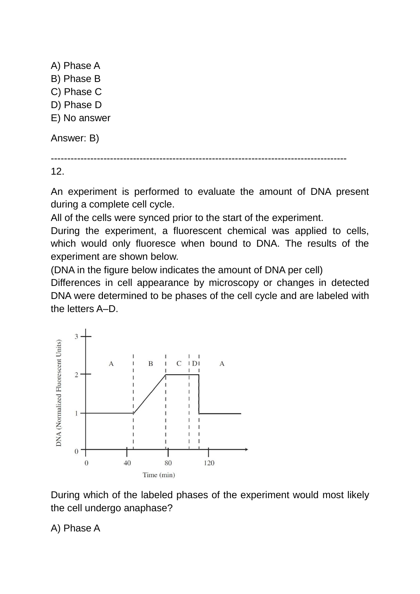A) Phase A B) Phase B C) Phase C D) Phase D E) No answer Answer: B)

------------------------------------------------------------------------------------------

12.

An experiment is performed to evaluate the amount of DNA present during a complete cell cycle.

All of the cells were synced prior to the start of the experiment.

During the experiment, a fluorescent chemical was applied to cells, which would only fluoresce when bound to DNA. The results of the experiment are shown below.

(DNA in the figure below indicates the amount of DNA per cell)

Differences in cell appearance by microscopy or changes in detected DNA were determined to be phases of the cell cycle and are labeled with the letters A–D.



During which of the labeled phases of the experiment would most likely the cell undergo anaphase?

A) Phase A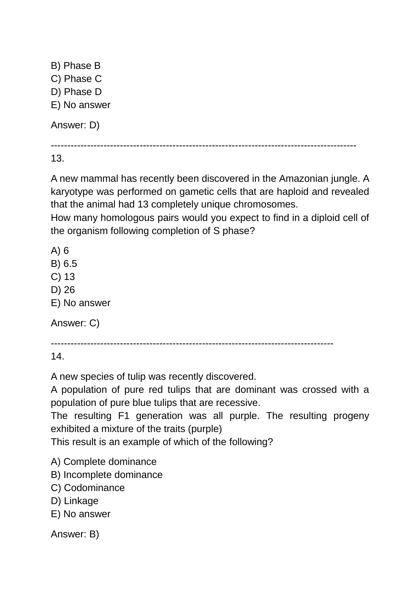B) Phase B C) Phase C D) Phase D E) No answer Answer: D)

---------------------------------------------------------------------------------------------

13.

A new mammal has recently been discovered in the Amazonian jungle. A karyotype was performed on gametic cells that are haploid and revealed that the animal had 13 completely unique chromosomes.

How many homologous pairs would you expect to find in a diploid cell of the organism following completion of S phase?

A) 6

B) 6.5

C) 13

D) 26

E) No answer

Answer: C)

--------------------------------------------------------------------------------------

14.

A new species of tulip was recently discovered.

A population of pure red tulips that are dominant was crossed with a population of pure blue tulips that are recessive.

The resulting F1 generation was all purple. The resulting progeny exhibited a mixture of the traits (purple)

This result is an example of which of the following?

- A) Complete dominance
- B) Incomplete dominance
- C) Codominance
- D) Linkage
- E) No answer

Answer: B)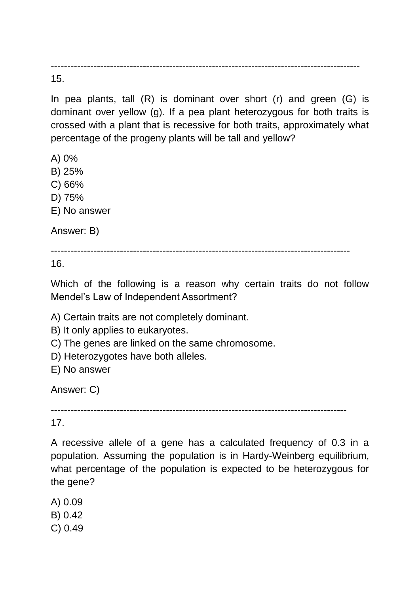---------------------------------------------------------------------------------------------- 15.

In pea plants, tall  $(R)$  is dominant over short  $(r)$  and green  $(G)$  is dominant over yellow (g). If a pea plant heterozygous for both traits is crossed with a plant that is recessive for both traits, approximately what percentage of the progeny plants will be tall and yellow?

A) 0%

B) 25%

C) 66%

D) 75%

E) No answer

Answer: B)

-------------------------------------------------------------------------------------------

16.

Which of the following is a reason why certain traits do not follow Mendel's Law of Independent Assortment?

A) Certain traits are not completely dominant.

B) It only applies to eukaryotes.

C) The genes are linked on the same chromosome.

D) Heterozygotes have both alleles.

E) No answer

Answer: C)

------------------------------------------------------------------------------------------

17.

A recessive allele of a gene has a calculated frequency of 0.3 in a population. Assuming the population is in Hardy-Weinberg equilibrium, what percentage of the population is expected to be heterozygous for the gene?

A) 0.09

B) 0.42

C) 0.49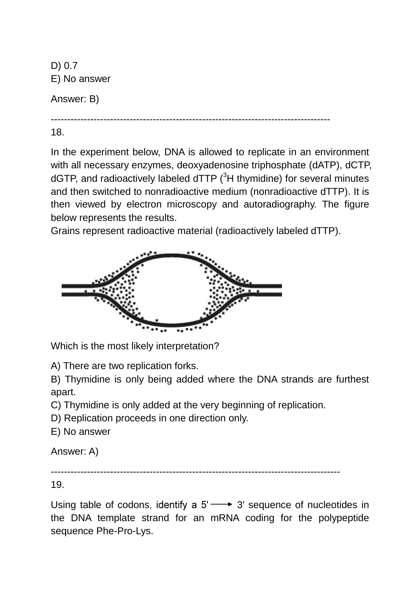D) 0.7 E) No answer

Answer: B)

-------------------------------------------------------------------------------------

18.

In the experiment below, DNA is allowed to replicate in an environment with all necessary enzymes, deoxyadenosine triphosphate (dATP), dCTP, dGTP, and radioactively labeled dTTP  $(^{3}H$  thymidine) for several minutes and then switched to nonradioactive medium (nonradioactive dTTP). It is then viewed by electron microscopy and autoradiography. The figure below represents the results.

Grains represent radioactive material (radioactively labeled dTTP).



Which is the most likely interpretation?

A) There are two replication forks.

B) Thymidine is only being added where the DNA strands are furthest apart.

C) Thymidine is only added at the very beginning of replication.

D) Replication proceeds in one direction only.

E) No answer

Answer: A)

----------------------------------------------------------------------------------------

19.

Using table of codons, identify a  $5' \rightarrow 3'$  sequence of nucleotides in the DNA template strand for an mRNA coding for the polypeptide sequence Phe-Pro-Lys.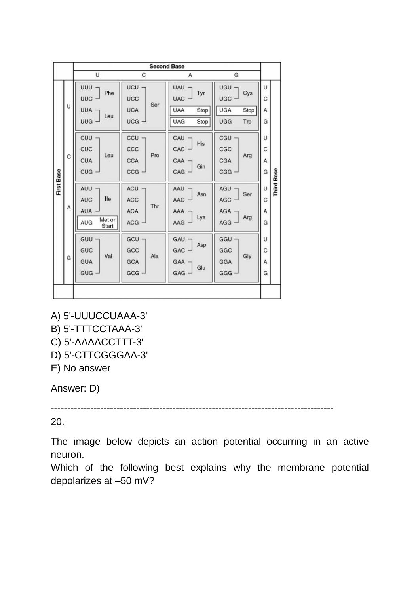|                   |   | <b>Second Base</b>                                                      |                                                   |                                                                             |                                                                       |                  |                   |
|-------------------|---|-------------------------------------------------------------------------|---------------------------------------------------|-----------------------------------------------------------------------------|-----------------------------------------------------------------------|------------------|-------------------|
|                   |   | U                                                                       | C                                                 | А                                                                           | G                                                                     |                  |                   |
| <b>First Base</b> | U | UUU -<br>Phe<br>UUC -<br><b>UUA</b><br>Leu<br><b>UUG</b>                | UCU<br><b>UCC</b><br>Ser<br><b>UCA</b><br>$UCG -$ | <b>UAU</b><br>Tyr<br><b>UAC</b><br>Stop<br><b>UAA</b><br><b>UAG</b><br>Stop | <b>UGU</b><br>Cys<br>UGC -<br><b>UGA</b><br>Stop<br><b>UGG</b><br>Trp | U<br>С<br>Α<br>G |                   |
|                   | С | <b>CUU</b><br>CUC<br>Leu<br><b>CUA</b><br>CUG ·                         | CCU<br>CCC<br>Pro<br>CCA<br>$ccG -$               | CAU<br>His<br>CAC<br>CAA<br>Gin<br>CAG                                      | CGU -<br>CGC<br>Arg<br>CGA<br>CGG                                     | U<br>C<br>Α<br>G |                   |
|                   | Α | AUU<br>Ile<br><b>AUC</b><br><b>AUA</b><br>Met or<br><b>AUG</b><br>Start | $ACU -$<br>ACC<br>Thr<br><b>ACA</b><br>ACG        | $AAU$ $\neg$<br>Asn<br>AAC<br>AAA<br>Lys<br>AAG                             | $AGU$ $\neg$<br>Ser<br>AGC<br>AGA<br>Arg<br>AGG                       | U<br>С<br>Α<br>G | <b>Third Base</b> |
|                   | G | GUU<br>GUC<br>Val<br><b>GUA</b><br>GUG                                  | $GCU -$<br>GCC<br>Ala<br>GCA<br>GCG               | $GAU$ $\neg$<br>Asp<br>GAC<br>GAA<br>Glu<br>GAG                             | GGU-<br>GGC<br>Gly<br>GGA<br>GGG                                      | U<br>C<br>А<br>G |                   |
|                   |   |                                                                         |                                                   |                                                                             |                                                                       |                  |                   |

- A) 5'-UUUCCUAAA-3' B) 5'-TTTCCTAAA-3'
- C) 5'-AAAACCTTT-3'
- D) 5'-CTTCGGGAA-3'
- E) No answer

Answer: D)

--------------------------------------------------------------------------------------

20.

The image below depicts an action potential occurring in an active neuron.

Which of the following best explains why the membrane potential depolarizes at –50 mV?